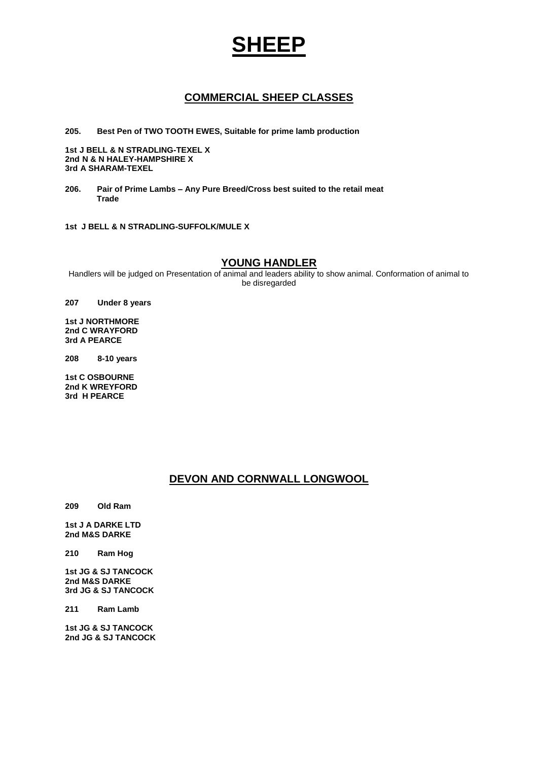# **SHEEP**

# **COMMERCIAL SHEEP CLASSES**

**205. Best Pen of TWO TOOTH EWES, Suitable for prime lamb production**

**1st J BELL & N STRADLING-TEXEL X 2nd N & N HALEY-HAMPSHIRE X 3rd A SHARAM-TEXEL**

**206. Pair of Prime Lambs – Any Pure Breed/Cross best suited to the retail meat Trade**

**1st J BELL & N STRADLING-SUFFOLK/MULE X**

#### **YOUNG HANDLER**

Handlers will be judged on Presentation of animal and leaders ability to show animal. Conformation of animal to be disregarded

**207 Under 8 years**

**1st J NORTHMORE 2nd C WRAYFORD 3rd A PEARCE**

**208 8-10 years**

**1st C OSBOURNE 2nd K WREYFORD 3rd H PEARCE**

## **DEVON AND CORNWALL LONGWOOL**

**209 Old Ram**

**1st J A DARKE LTD 2nd M&S DARKE**

**210 Ram Hog**

**1st JG & SJ TANCOCK 2nd M&S DARKE 3rd JG & SJ TANCOCK**

**211 Ram Lamb**

**1st JG & SJ TANCOCK 2nd JG & SJ TANCOCK**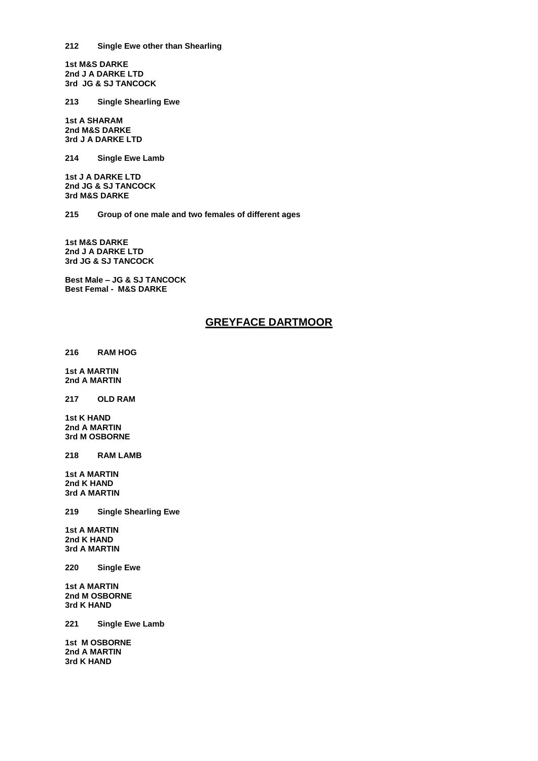**1st M&S DARKE 2nd J A DARKE LTD 3rd JG & SJ TANCOCK**

**213 Single Shearling Ewe**

**1st A SHARAM 2nd M&S DARKE 3rd J A DARKE LTD**

**214 Single Ewe Lamb**

**1st J A DARKE LTD 2nd JG & SJ TANCOCK 3rd M&S DARKE**

**215 Group of one male and two females of different ages**

**1st M&S DARKE 2nd J A DARKE LTD 3rd JG & SJ TANCOCK**

**Best Male – JG & SJ TANCOCK Best Femal - M&S DARKE**

## **GREYFACE DARTMOOR**

**216 RAM HOG**

**1st A MARTIN 2nd A MARTIN**

**217 OLD RAM**

**1st K HAND 2nd A MARTIN 3rd M OSBORNE**

**218 RAM LAMB**

**1st A MARTIN 2nd K HAND 3rd A MARTIN**

**219 Single Shearling Ewe**

**1st A MARTIN 2nd K HAND 3rd A MARTIN**

**220 Single Ewe** 

**1st A MARTIN 2nd M OSBORNE 3rd K HAND**

**221 Single Ewe Lamb**

**1st M OSBORNE 2nd A MARTIN 3rd K HAND**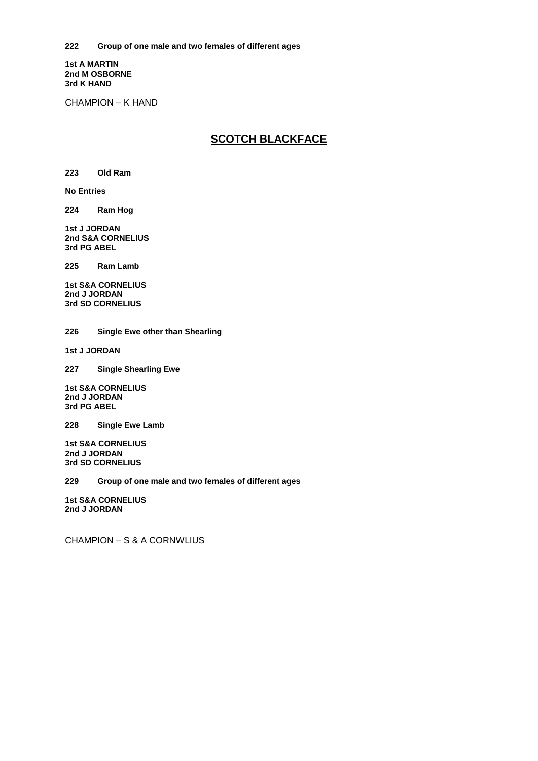**1st A MARTIN 2nd M OSBORNE 3rd K HAND**

CHAMPION – K HAND

# **SCOTCH BLACKFACE**

**223 Old Ram**

**No Entries**

**224 Ram Hog**

**1st J JORDAN 2nd S&A CORNELIUS 3rd PG ABEL**

**225 Ram Lamb**

**1st S&A CORNELIUS 2nd J JORDAN 3rd SD CORNELIUS** 

**226 Single Ewe other than Shearling**

**1st J JORDAN**

**227 Single Shearling Ewe**

**1st S&A CORNELIUS 2nd J JORDAN 3rd PG ABEL**

**228 Single Ewe Lamb**

**1st S&A CORNELIUS 2nd J JORDAN 3rd SD CORNELIUS**

**229 Group of one male and two females of different ages**

**1st S&A CORNELIUS 2nd J JORDAN**

CHAMPION – S & A CORNWLIUS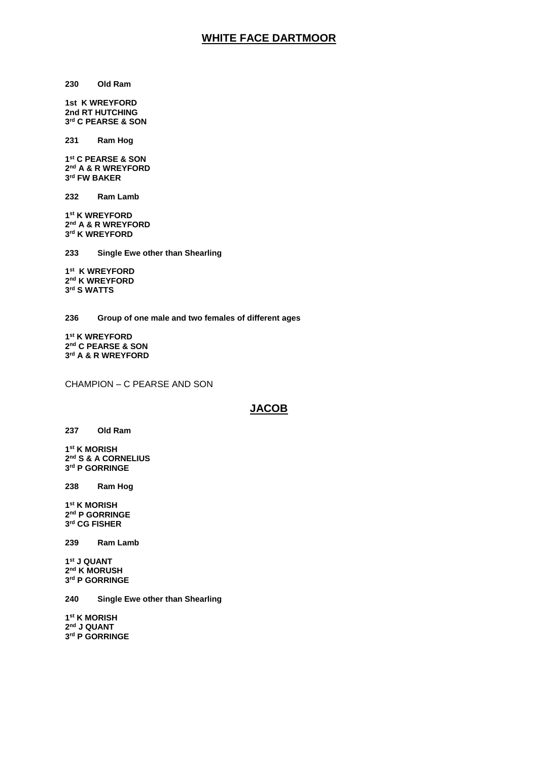## **WHITE FACE DARTMOOR**

**Old Ram**

**1st K WREYFORD 2nd RT HUTCHING rd C PEARSE & SON**

**Ram Hog**

 **st C PEARSE & SON nd A & R WREYFORD rd FW BAKER**

**Ram Lamb**

 **st K WREYFORD nd A & R WREYFORD rd K WREYFORD**

**Single Ewe other than Shearling**

 **st K WREYFORD nd K WREYFORD rd S WATTS**

**Group of one male and two females of different ages**

 **st K WREYFORD nd C PEARSE & SON rd A & R WREYFORD**

CHAMPION – C PEARSE AND SON

#### **JACOB**

**Old Ram**

 **st K MORISH nd S & A CORNELIUS rd P GORRINGE** 

**Ram Hog**

 **st K MORISH nd P GORRINGE rd CG FISHER**

**Ram Lamb**

 **st J QUANT nd K MORUSH rd P GORRINGE**

**Single Ewe other than Shearling**

 **st K MORISH nd J QUANT rd P GORRINGE**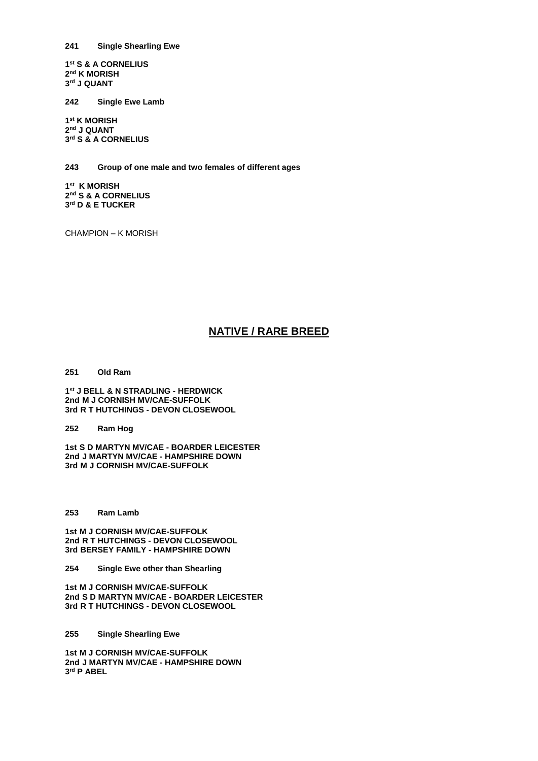**241 Single Shearling Ewe**

**1 st S & A CORNELIUS 2 nd K MORISH 3 rd J QUANT**

**242 Single Ewe Lamb**

**1 st K MORISH 2 nd J QUANT 3 rd S & A CORNELIUS**

**243 Group of one male and two females of different ages**

**1 st K MORISH 2 nd S & A CORNELIUS 3 rd D & E TUCKER**

CHAMPION – K MORISH

# **NATIVE / RARE BREED**

**251 Old Ram**

**1 st J BELL & N STRADLING - HERDWICK 2nd M J CORNISH MV/CAE-SUFFOLK 3rd R T HUTCHINGS - DEVON CLOSEWOOL**

**252 Ram Hog**

**1st S D MARTYN MV/CAE - BOARDER LEICESTER 2nd J MARTYN MV/CAE - HAMPSHIRE DOWN 3rd M J CORNISH MV/CAE-SUFFOLK**

**253 Ram Lamb**

**1st M J CORNISH MV/CAE-SUFFOLK 2nd R T HUTCHINGS - DEVON CLOSEWOOL 3rd BERSEY FAMILY - HAMPSHIRE DOWN**

**254 Single Ewe other than Shearling**

**1st M J CORNISH MV/CAE-SUFFOLK 2nd S D MARTYN MV/CAE - BOARDER LEICESTER 3rd R T HUTCHINGS - DEVON CLOSEWOOL**

**255 Single Shearling Ewe**

**1st M J CORNISH MV/CAE-SUFFOLK 2nd J MARTYN MV/CAE - HAMPSHIRE DOWN 3 rd P ABEL**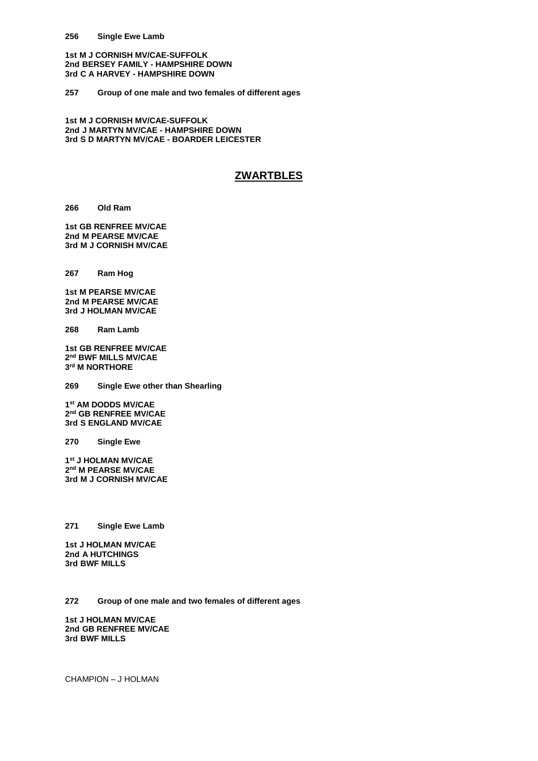**1st M J CORNISH MV/CAE-SUFFOLK 2nd BERSEY FAMILY - HAMPSHIRE DOWN 3rd C A HARVEY - HAMPSHIRE DOWN**

**257 Group of one male and two females of different ages**

**1st M J CORNISH MV/CAE-SUFFOLK 2nd J MARTYN MV/CAE - HAMPSHIRE DOWN 3rd S D MARTYN MV/CAE - BOARDER LEICESTER**

#### **ZWARTBLES**

**266 Old Ram**

**1st GB RENFREE MV/CAE 2nd M PEARSE MV/CAE 3rd M J CORNISH MV/CAE**

**267 Ram Hog**

**1st M PEARSE MV/CAE 2nd M PEARSE MV/CAE 3rd J HOLMAN MV/CAE**

**268 Ram Lamb**

**1st GB RENFREE MV/CAE 2 nd BWF MILLS MV/CAE 3 rd M NORTHORE**

**269 Single Ewe other than Shearling**

**1 st AM DODDS MV/CAE 2 nd GB RENFREE MV/CAE 3rd S ENGLAND MV/CAE**

**270 Single Ewe**

**1 st J HOLMAN MV/CAE 2 nd M PEARSE MV/CAE 3rd M J CORNISH MV/CAE**

**271 Single Ewe Lamb**

**1st J HOLMAN MV/CAE 2nd A HUTCHINGS 3rd BWF MILLS**

**272 Group of one male and two females of different ages**

**1st J HOLMAN MV/CAE 2nd GB RENFREE MV/CAE 3rd BWF MILLS**

CHAMPION – J HOLMAN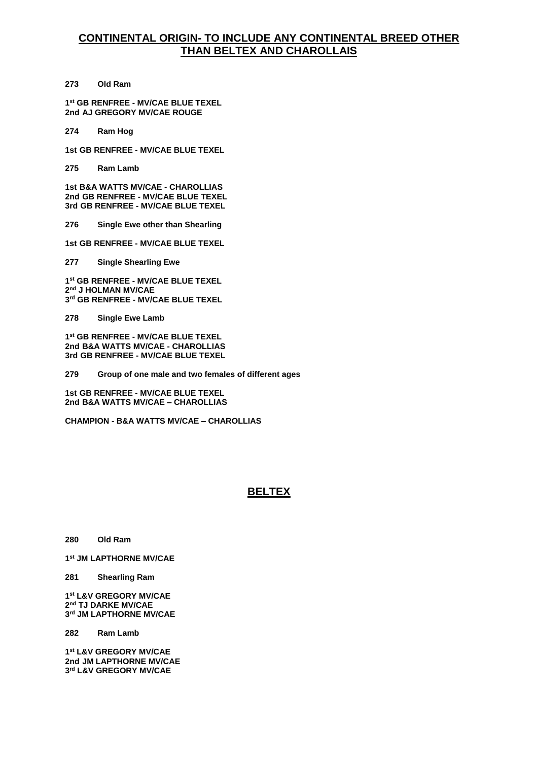## **CONTINENTAL ORIGIN- TO INCLUDE ANY CONTINENTAL BREED OTHER THAN BELTEX AND CHAROLLAIS**

**273 Old Ram**

**1 st GB RENFREE - MV/CAE BLUE TEXEL 2nd AJ GREGORY MV/CAE ROUGE**

**274 Ram Hog**

**1st GB RENFREE - MV/CAE BLUE TEXEL**

**275 Ram Lamb**

**1st B&A WATTS MV/CAE - CHAROLLIAS 2nd GB RENFREE - MV/CAE BLUE TEXEL 3rd GB RENFREE - MV/CAE BLUE TEXEL**

**276 Single Ewe other than Shearling**

**1st GB RENFREE - MV/CAE BLUE TEXEL**

**277 Single Shearling Ewe**

**1 st GB RENFREE - MV/CAE BLUE TEXEL 2 nd J HOLMAN MV/CAE 3 rd GB RENFREE - MV/CAE BLUE TEXEL**

**278 Single Ewe Lamb**

**1 st GB RENFREE - MV/CAE BLUE TEXEL 2nd B&A WATTS MV/CAE - CHAROLLIAS 3rd GB RENFREE - MV/CAE BLUE TEXEL**

**279 Group of one male and two females of different ages**

**1st GB RENFREE - MV/CAE BLUE TEXEL 2nd B&A WATTS MV/CAE – CHAROLLIAS**

**CHAMPION - B&A WATTS MV/CAE – CHAROLLIAS**

## **BELTEX**

**280 Old Ram** 

**1 st JM LAPTHORNE MV/CAE**

**281 Shearling Ram** 

**1 st L&V GREGORY MV/CAE 2 nd TJ DARKE MV/CAE 3 rd JM LAPTHORNE MV/CAE**

**282 Ram Lamb** 

**1 st L&V GREGORY MV/CAE 2nd JM LAPTHORNE MV/CAE 3 rd L&V GREGORY MV/CAE**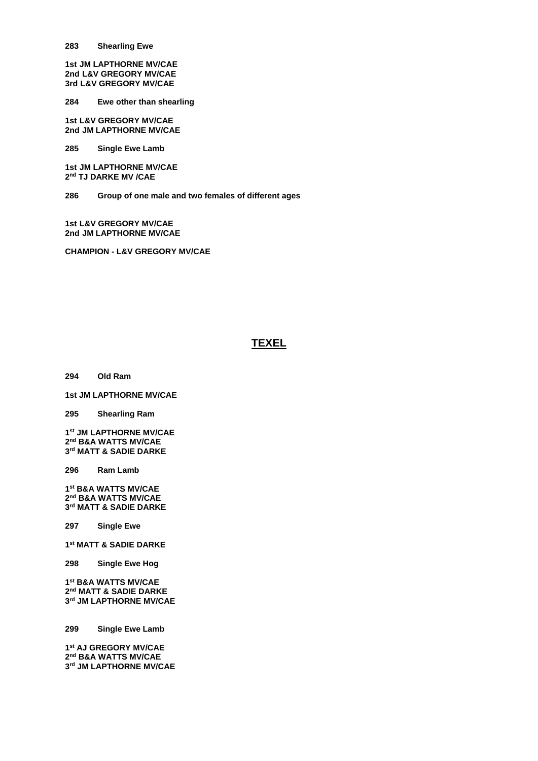**Shearling Ewe** 

**1st JM LAPTHORNE MV/CAE 2nd L&V GREGORY MV/CAE 3rd L&V GREGORY MV/CAE**

**Ewe other than shearling** 

**1st L&V GREGORY MV/CAE 2nd JM LAPTHORNE MV/CAE**

**Single Ewe Lamb** 

**1st JM LAPTHORNE MV/CAE nd TJ DARKE MV /CAE**

**Group of one male and two females of different ages**

**1st L&V GREGORY MV/CAE 2nd JM LAPTHORNE MV/CAE**

**CHAMPION - L&V GREGORY MV/CAE**

# **TEXEL**

**Old Ram**

**1st JM LAPTHORNE MV/CAE**

**Shearling Ram** 

 **st JM LAPTHORNE MV/CAE nd B&A WATTS MV/CAE rd MATT & SADIE DARKE**

**Ram Lamb**

 **st B&A WATTS MV/CAE nd B&A WATTS MV/CAE rd MATT & SADIE DARKE**

**Single Ewe**

**st MATT & SADIE DARKE**

**Single Ewe Hog**

 **st B&A WATTS MV/CAE nd MATT & SADIE DARKE rd JM LAPTHORNE MV/CAE**

**Single Ewe Lamb**

 **st AJ GREGORY MV/CAE nd B&A WATTS MV/CAE rd JM LAPTHORNE MV/CAE**